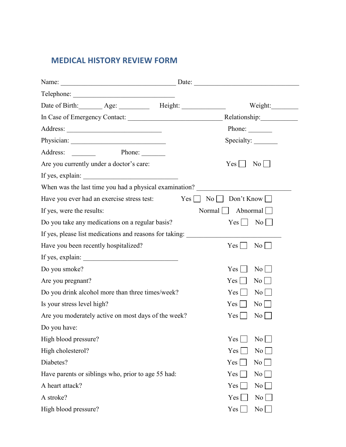## **MEDICAL HISTORY REVIEW FORM**

| Date of Birth: Age: Height: Height:                     | Weight:                                       |  |
|---------------------------------------------------------|-----------------------------------------------|--|
|                                                         | Relationship:                                 |  |
|                                                         | Phone: $\qquad \qquad$                        |  |
|                                                         | Specialty:                                    |  |
| Phone:<br>Address:<br>and the state of                  |                                               |  |
| Are you currently under a doctor's care:                | $\vert$ No $\vert$ $\vert$<br>$Yes \mid \mid$ |  |
|                                                         |                                               |  |
| When was the last time you had a physical examination?  |                                               |  |
| Have you ever had an exercise stress test:              | $Yes \Box$                                    |  |
| If yes, were the results:                               | $Normal$ Abnormal                             |  |
| Do you take any medications on a regular basis?         | $Yes \mid \mid$<br>$\rm{No}$                  |  |
| If yes, please list medications and reasons for taking: |                                               |  |
| Have you been recently hospitalized?                    | $\overline{N_0}$  <br>$Yes \mid \mid$         |  |
|                                                         |                                               |  |
| Do you smoke?                                           | Yes<br>$\overline{N_0}$                       |  |
| Are you pregnant?                                       | $Yes \mid \mid$<br>$\rm{No}$                  |  |
| Do you drink alcohol more than three times/week?        | Yes  <br>$\rm{No}$                            |  |
| Is your stress level high?                              | $Yes \mid \mid$<br>$\overline{N_0}$           |  |
| Are you moderately active on most days of the week?     | Yes  <br>$\overline{N_0}$                     |  |
| Do you have:                                            |                                               |  |
| High blood pressure?                                    | Yes<br>No                                     |  |
| High cholesterol?                                       | Yes<br>$\overline{N_0}$                       |  |
| Diabetes?                                               | Yes  <br>No                                   |  |
| Have parents or siblings who, prior to age 55 had:      | Yes<br>$\overline{N_0}$                       |  |
| A heart attack?                                         | Yes<br>$\overline{N_0}$                       |  |
| A stroke?                                               | Yes<br>No                                     |  |
| High blood pressure?                                    | Yes<br>$\overline{N}$ o                       |  |